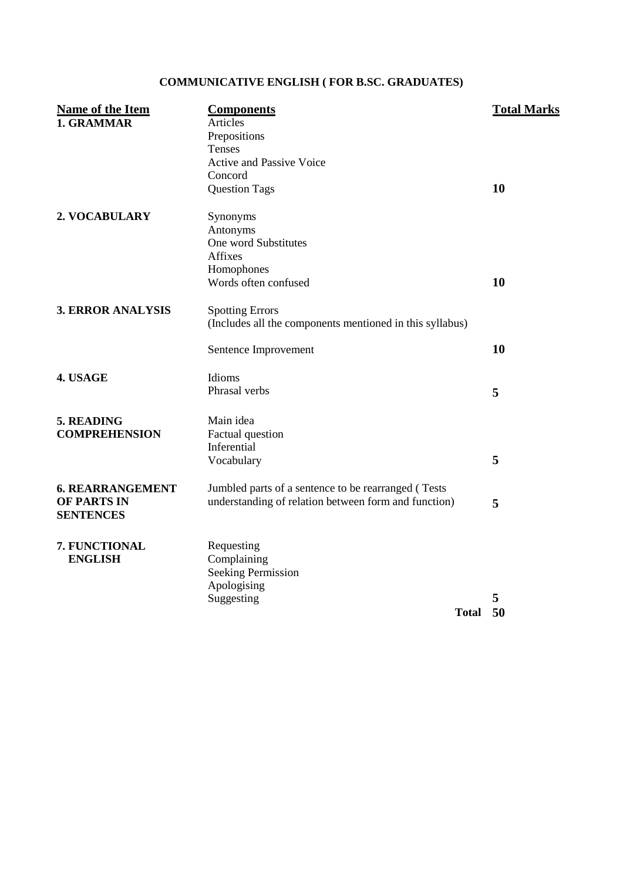## **COMMUNICATIVE ENGLISH ( FOR B.SC. GRADUATES)**

| <b>Name of the Item</b><br>1. GRAMMAR                      | <b>Components</b><br>Articles<br>Prepositions<br>Tenses<br><b>Active and Passive Voice</b><br>Concord                 | <b>Total Marks</b> |
|------------------------------------------------------------|-----------------------------------------------------------------------------------------------------------------------|--------------------|
| 2. VOCABULARY                                              | <b>Question Tags</b><br>Synonyms<br>Antonyms<br>One word Substitutes<br>Affixes<br>Homophones<br>Words often confused | 10<br>10           |
| <b>3. ERROR ANALYSIS</b>                                   | <b>Spotting Errors</b><br>(Includes all the components mentioned in this syllabus)<br>Sentence Improvement            | 10                 |
| 4. USAGE                                                   | Idioms<br>Phrasal verbs                                                                                               | 5                  |
| 5. READING<br><b>COMPREHENSION</b>                         | Main idea<br>Factual question<br>Inferential<br>Vocabulary                                                            | 5                  |
| <b>6. REARRANGEMENT</b><br>OF PARTS IN<br><b>SENTENCES</b> | Jumbled parts of a sentence to be rearranged (Tests<br>understanding of relation between form and function)           | 5                  |
| 7. FUNCTIONAL<br><b>ENGLISH</b>                            | Requesting<br>Complaining<br><b>Seeking Permission</b><br>Apologising<br>Suggesting<br><b>Total</b>                   | 5<br>50            |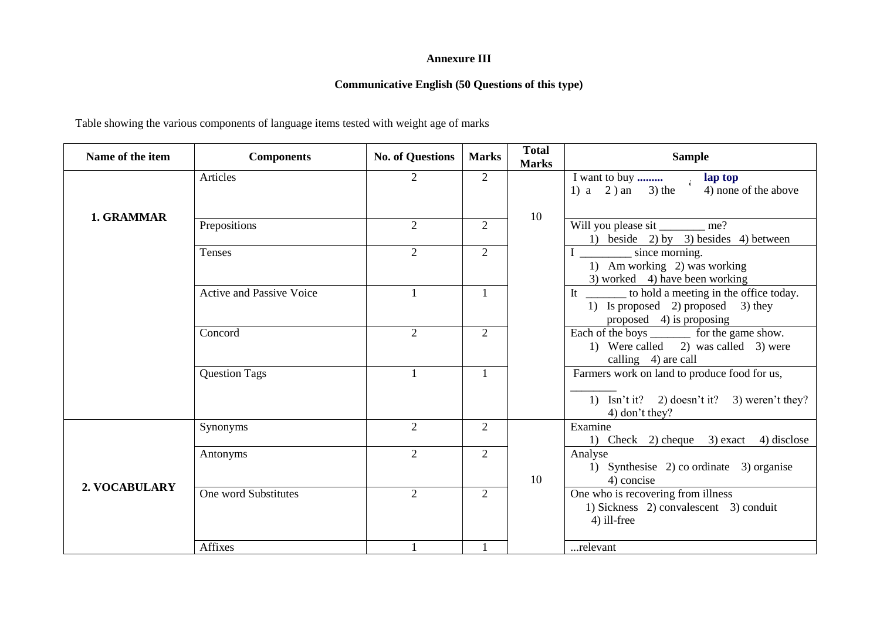## **Annexure III**

## **Communicative English (50 Questions of this type)**

Table showing the various components of language items tested with weight age of marks

| Name of the item | <b>Components</b>               | <b>No. of Questions</b> | <b>Marks</b>   | <b>Total</b><br><b>Marks</b> | <b>Sample</b>                                                                                                  |
|------------------|---------------------------------|-------------------------|----------------|------------------------------|----------------------------------------------------------------------------------------------------------------|
|                  | Articles                        | $\overline{2}$          | $\overline{2}$ |                              | 4) none of the above<br>1) a 2) an 3) the                                                                      |
| 1. GRAMMAR       | Prepositions                    | $\overline{2}$          | $\overline{2}$ | 10                           | Will you please sit _________ me?<br>1) beside 2) by 3) besides 4) between                                     |
|                  | Tenses                          | 2                       | $\overline{2}$ |                              | since morning.<br>1) Am working 2) was working<br>3) worked 4) have been working                               |
|                  | <b>Active and Passive Voice</b> |                         | 1              |                              | to hold a meeting in the office today.<br>It<br>1) Is proposed 2) proposed 3) they<br>proposed 4) is proposing |
|                  | Concord                         | $\overline{2}$          | $\overline{2}$ |                              | Each of the boys _________ for the game show.<br>1) Were called 2) was called 3) were<br>calling 4) are call   |
|                  | <b>Question Tags</b>            | $\mathbf{1}$            | $\mathbf{1}$   |                              | Farmers work on land to produce food for us,<br>1) Isn't it? 2) doesn't it? 3) weren't they?<br>4) don't they? |
|                  | Synonyms                        | 2                       | $\overline{2}$ |                              | Examine<br>1) Check 2) cheque 3) exact 4) disclose                                                             |
| 2. VOCABULARY    | Antonyms                        | $\overline{2}$          | $\overline{2}$ | 10                           | Analyse<br>1) Synthesise 2) co ordinate 3) organise<br>4) concise                                              |
|                  | One word Substitutes            | $\overline{2}$          | $\overline{2}$ |                              | One who is recovering from illness<br>1) Sickness 2) convalescent 3) conduit<br>4) ill-free                    |
|                  | Affixes                         |                         |                |                              | relevant                                                                                                       |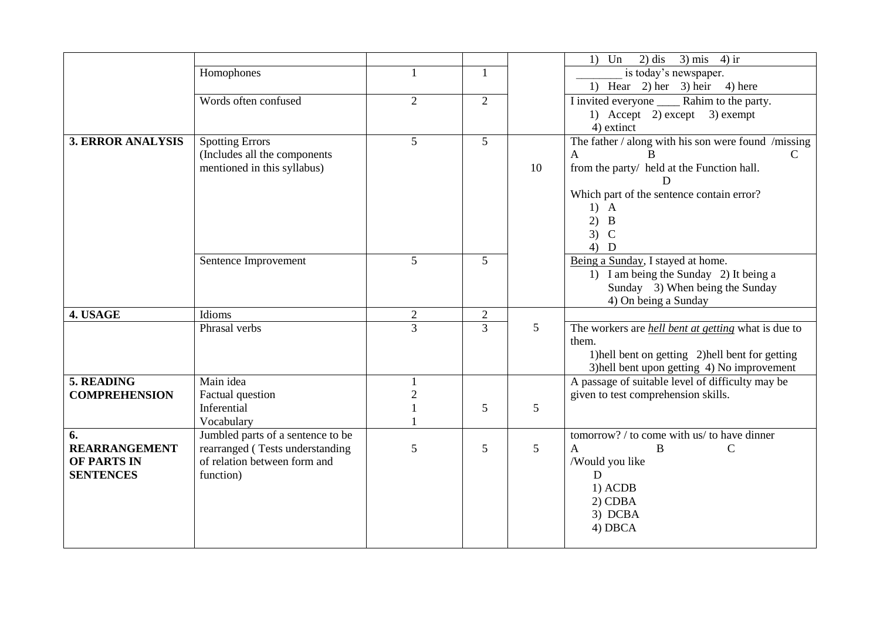|                          |                                   |                |                |                 | $2)$ dis<br>$3)$ mis $4)$ ir<br>Un<br>1)                   |
|--------------------------|-----------------------------------|----------------|----------------|-----------------|------------------------------------------------------------|
|                          | Homophones                        |                |                |                 | is today's newspaper.                                      |
|                          |                                   |                |                |                 | 1) Hear 2) her 3) heir 4) here                             |
|                          | Words often confused              | $\overline{2}$ | $\overline{2}$ |                 | I invited everyone Rahim to the party.                     |
|                          |                                   |                |                |                 | 1) Accept 2) except 3) exempt                              |
|                          |                                   |                |                |                 | 4) extinct                                                 |
| <b>3. ERROR ANALYSIS</b> | <b>Spotting Errors</b>            | 5              | 5              |                 | The father / along with his son were found /missing        |
|                          | (Includes all the components)     |                |                |                 | $\mathcal{C}$<br>$\mathbf{A}$<br>B                         |
|                          | mentioned in this syllabus)       |                |                | 10              | from the party/ held at the Function hall.                 |
|                          |                                   |                |                |                 |                                                            |
|                          |                                   |                |                |                 | Which part of the sentence contain error?                  |
|                          |                                   |                |                |                 | $1)$ A                                                     |
|                          |                                   |                |                |                 | 2)<br>$\mathbf{B}$                                         |
|                          |                                   |                |                |                 | 3)<br>$\mathcal{C}$                                        |
|                          |                                   |                |                |                 | $4)$ D                                                     |
|                          | Sentence Improvement              | 5 <sup>5</sup> | 5              |                 | Being a Sunday, I stayed at home.                          |
|                          |                                   |                |                |                 | 1) I am being the Sunday 2) It being a                     |
|                          |                                   |                |                |                 | Sunday 3) When being the Sunday                            |
|                          |                                   |                |                |                 | 4) On being a Sunday                                       |
| 4. USAGE                 | Idioms                            | $\overline{2}$ | $\overline{2}$ |                 |                                                            |
|                          | Phrasal verbs                     | $\overline{3}$ | 3              | $5\overline{)}$ | The workers are <i>hell bent at getting</i> what is due to |
|                          |                                   |                |                |                 | them.                                                      |
|                          |                                   |                |                |                 | 1) hell bent on getting 2) hell bent for getting           |
|                          |                                   |                |                |                 | 3) hell bent upon getting 4) No improvement                |
| 5. READING               | Main idea                         |                |                |                 | A passage of suitable level of difficulty may be           |
| <b>COMPREHENSION</b>     | Factual question                  | $\mathfrak{2}$ |                |                 | given to test comprehension skills.                        |
|                          | Inferential                       |                | 5              | 5               |                                                            |
|                          | Vocabulary                        |                |                |                 |                                                            |
| 6.                       | Jumbled parts of a sentence to be |                |                |                 | tomorrow? / to come with us/ to have dinner                |
| <b>REARRANGEMENT</b>     | rearranged (Tests understanding   | 5              | 5              | 5               | $\mathbf{A}$<br>B<br>$\mathbf C$                           |
| OF PARTS IN              | of relation between form and      |                |                |                 | /Would you like                                            |
| <b>SENTENCES</b>         | function)                         |                |                |                 | $\mathbf D$                                                |
|                          |                                   |                |                |                 | $1)$ ACDB                                                  |
|                          |                                   |                |                |                 | $2)$ CDBA                                                  |
|                          |                                   |                |                |                 | 3) DCBA                                                    |
|                          |                                   |                |                |                 | 4) DBCA                                                    |
|                          |                                   |                |                |                 |                                                            |